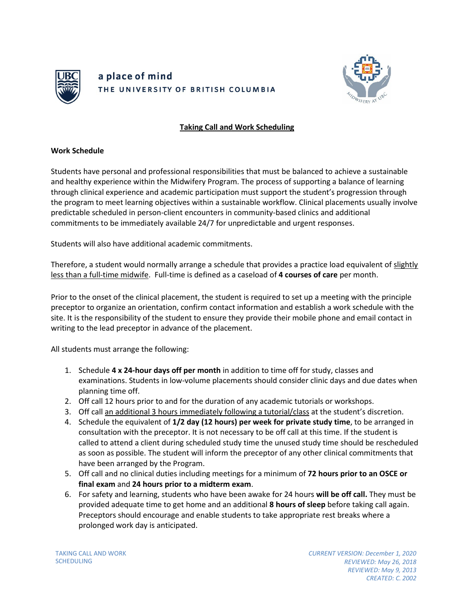

# a place of mind THE UNIVERSITY OF BRITISH COLUMBIA



## **Taking Call and Work Scheduling**

#### **Work Schedule**

Students have personal and professional responsibilities that must be balanced to achieve a sustainable and healthy experience within the Midwifery Program. The process of supporting a balance of learning through clinical experience and academic participation must support the student's progression through the program to meet learning objectives within a sustainable workflow. Clinical placements usually involve predictable scheduled in person-client encounters in community-based clinics and additional commitments to be immediately available 24/7 for unpredictable and urgent responses.

Students will also have additional academic commitments.

Therefore, a student would normally arrange a schedule that provides a practice load equivalent of slightly less than a full-time midwife. Full-time is defined as a caseload of **4 courses of care** per month.

Prior to the onset of the clinical placement, the student is required to set up a meeting with the principle preceptor to organize an orientation, confirm contact information and establish a work schedule with the site. It is the responsibility of the student to ensure they provide their mobile phone and email contact in writing to the lead preceptor in advance of the placement.

All students must arrange the following:

- 1. Schedule **4 x 24-hour days off per month** in addition to time off for study, classes and examinations. Students in low-volume placements should consider clinic days and due dates when planning time off.
- 2. Off call 12 hours prior to and for the duration of any academic tutorials or workshops.
- 3. Off call an additional 3 hours immediately following a tutorial/class at the student's discretion.
- 4. Schedule the equivalent of **1/2 day (12 hours) per week for private study time**, to be arranged in consultation with the preceptor. It is not necessary to be off call at this time. If the student is called to attend a client during scheduled study time the unused study time should be rescheduled as soon as possible. The student will inform the preceptor of any other clinical commitments that have been arranged by the Program.
- 5. Off call and no clinical duties including meetings for a minimum of **72 hours prior to an OSCE or final exam** and **24 hours prior to a midterm exam**.
- 6. For safety and learning, students who have been awake for 24 hours **will be off call.** They must be provided adequate time to get home and an additional **8 hours of sleep** before taking call again. Preceptors should encourage and enable students to take appropriate rest breaks where a prolonged work day is anticipated.

TAKING CALL AND WORK SCHEDULING